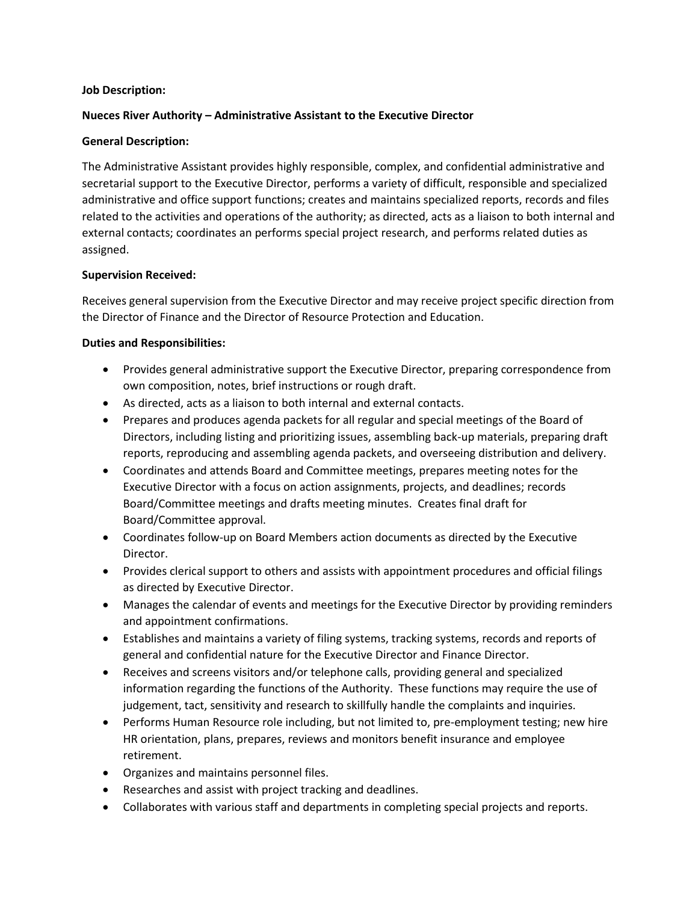## **Job Description:**

# **Nueces River Authority – Administrative Assistant to the Executive Director**

# **General Description:**

The Administrative Assistant provides highly responsible, complex, and confidential administrative and secretarial support to the Executive Director, performs a variety of difficult, responsible and specialized administrative and office support functions; creates and maintains specialized reports, records and files related to the activities and operations of the authority; as directed, acts as a liaison to both internal and external contacts; coordinates an performs special project research, and performs related duties as assigned.

## **Supervision Received:**

Receives general supervision from the Executive Director and may receive project specific direction from the Director of Finance and the Director of Resource Protection and Education.

# **Duties and Responsibilities:**

- Provides general administrative support the Executive Director, preparing correspondence from own composition, notes, brief instructions or rough draft.
- As directed, acts as a liaison to both internal and external contacts.
- Prepares and produces agenda packets for all regular and special meetings of the Board of Directors, including listing and prioritizing issues, assembling back-up materials, preparing draft reports, reproducing and assembling agenda packets, and overseeing distribution and delivery.
- Coordinates and attends Board and Committee meetings, prepares meeting notes for the Executive Director with a focus on action assignments, projects, and deadlines; records Board/Committee meetings and drafts meeting minutes. Creates final draft for Board/Committee approval.
- Coordinates follow-up on Board Members action documents as directed by the Executive Director.
- Provides clerical support to others and assists with appointment procedures and official filings as directed by Executive Director.
- Manages the calendar of events and meetings for the Executive Director by providing reminders and appointment confirmations.
- Establishes and maintains a variety of filing systems, tracking systems, records and reports of general and confidential nature for the Executive Director and Finance Director.
- Receives and screens visitors and/or telephone calls, providing general and specialized information regarding the functions of the Authority. These functions may require the use of judgement, tact, sensitivity and research to skillfully handle the complaints and inquiries.
- Performs Human Resource role including, but not limited to, pre-employment testing; new hire HR orientation, plans, prepares, reviews and monitors benefit insurance and employee retirement.
- Organizes and maintains personnel files.
- Researches and assist with project tracking and deadlines.
- Collaborates with various staff and departments in completing special projects and reports.